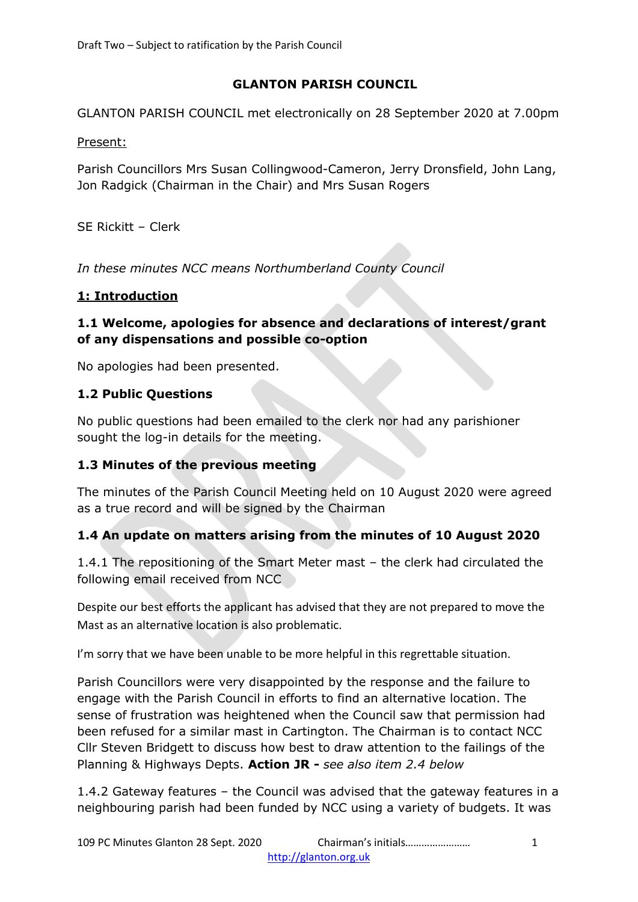# **GLANTON PARISH COUNCIL**

GLANTON PARISH COUNCIL met electronically on 28 September 2020 at 7.00pm

Present:

Parish Councillors Mrs Susan Collingwood-Cameron, Jerry Dronsfield, John Lang, Jon Radgick (Chairman in the Chair) and Mrs Susan Rogers

SE Rickitt – Clerk

*In these minutes NCC means Northumberland County Council*

# **1: Introduction**

### **1.1 Welcome, apologies for absence and declarations of interest/grant of any dispensations and possible co-option**

No apologies had been presented.

### **1.2 Public Questions**

No public questions had been emailed to the clerk nor had any parishioner sought the log-in details for the meeting.

### **1.3 Minutes of the previous meeting**

The minutes of the Parish Council Meeting held on 10 August 2020 were agreed as a true record and will be signed by the Chairman

# **1.4 An update on matters arising from the minutes of 10 August 2020**

1.4.1 The repositioning of the Smart Meter mast – the clerk had circulated the following email received from NCC

Despite our best efforts the applicant has advised that they are not prepared to move the Mast as an alternative location is also problematic.

I'm sorry that we have been unable to be more helpful in this regrettable situation.

Parish Councillors were very disappointed by the response and the failure to engage with the Parish Council in efforts to find an alternative location. The sense of frustration was heightened when the Council saw that permission had been refused for a similar mast in Cartington. The Chairman is to contact NCC Cllr Steven Bridgett to discuss how best to draw attention to the failings of the Planning & Highways Depts. **Action JR -** *see also item 2.4 below*

1.4.2 Gateway features – the Council was advised that the gateway features in a neighbouring parish had been funded by NCC using a variety of budgets. It was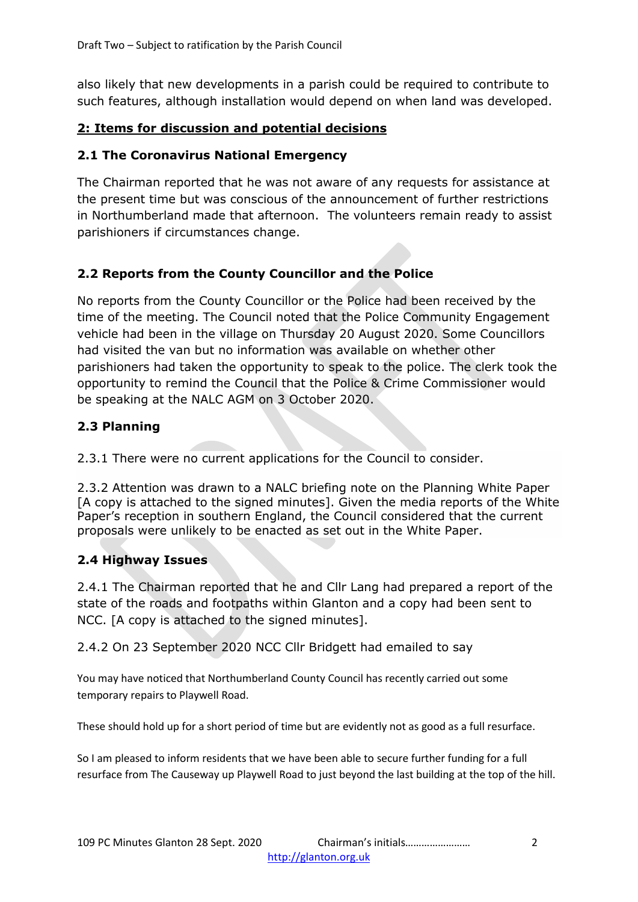also likely that new developments in a parish could be required to contribute to such features, although installation would depend on when land was developed.

## **2: Items for discussion and potential decisions**

#### **2.1 The Coronavirus National Emergency**

The Chairman reported that he was not aware of any requests for assistance at the present time but was conscious of the announcement of further restrictions in Northumberland made that afternoon. The volunteers remain ready to assist parishioners if circumstances change.

# **2.2 Reports from the County Councillor and the Police**

No reports from the County Councillor or the Police had been received by the time of the meeting. The Council noted that the Police Community Engagement vehicle had been in the village on Thursday 20 August 2020. Some Councillors had visited the van but no information was available on whether other parishioners had taken the opportunity to speak to the police. The clerk took the opportunity to remind the Council that the Police & Crime Commissioner would be speaking at the NALC AGM on 3 October 2020.

### **2.3 Planning**

2.3.1 There were no current applications for the Council to consider.

2.3.2 Attention was drawn to a NALC briefing note on the Planning White Paper [A copy is attached to the signed minutes]. Given the media reports of the White Paper's reception in southern England, the Council considered that the current proposals were unlikely to be enacted as set out in the White Paper.

### **2.4 Highway Issues**

2.4.1 The Chairman reported that he and Cllr Lang had prepared a report of the state of the roads and footpaths within Glanton and a copy had been sent to NCC. [A copy is attached to the signed minutes].

2.4.2 On 23 September 2020 NCC Cllr Bridgett had emailed to say

You may have noticed that Northumberland County Council has recently carried out some temporary repairs to Playwell Road.

These should hold up for a short period of time but are evidently not as good as a full resurface.

So I am pleased to inform residents that we have been able to secure further funding for a full resurface from The Causeway up Playwell Road to just beyond the last building at the top of the hill.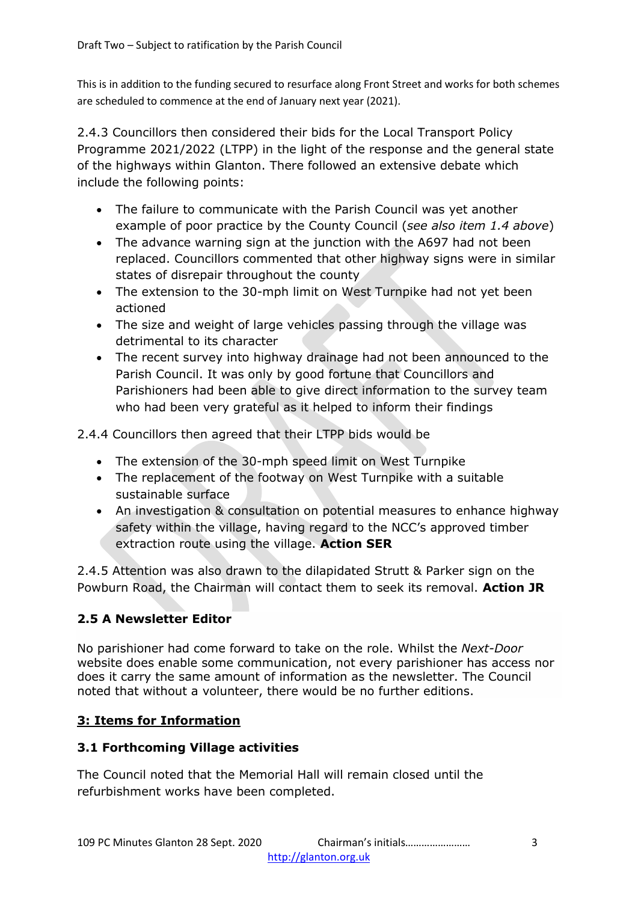This is in addition to the funding secured to resurface along Front Street and works for both schemes are scheduled to commence at the end of January next year (2021).

2.4.3 Councillors then considered their bids for the Local Transport Policy Programme 2021/2022 (LTPP) in the light of the response and the general state of the highways within Glanton. There followed an extensive debate which include the following points:

- The failure to communicate with the Parish Council was yet another example of poor practice by the County Council (*see also item 1.4 above*)
- The advance warning sign at the junction with the A697 had not been replaced. Councillors commented that other highway signs were in similar states of disrepair throughout the county
- The extension to the 30-mph limit on West Turnpike had not yet been actioned
- The size and weight of large vehicles passing through the village was detrimental to its character
- The recent survey into highway drainage had not been announced to the Parish Council. It was only by good fortune that Councillors and Parishioners had been able to give direct information to the survey team who had been very grateful as it helped to inform their findings

2.4.4 Councillors then agreed that their LTPP bids would be

- The extension of the 30-mph speed limit on West Turnpike
- The replacement of the footway on West Turnpike with a suitable sustainable surface
- An investigation & consultation on potential measures to enhance highway safety within the village, having regard to the NCC's approved timber extraction route using the village. **Action SER**

2.4.5 Attention was also drawn to the dilapidated Strutt & Parker sign on the Powburn Road, the Chairman will contact them to seek its removal. **Action JR**

# **2.5 A Newsletter Editor**

No parishioner had come forward to take on the role. Whilst the *Next-Door* website does enable some communication, not every parishioner has access nor does it carry the same amount of information as the newsletter. The Council noted that without a volunteer, there would be no further editions.

# **3: Items for Information**

### **3.1 Forthcoming Village activities**

The Council noted that the Memorial Hall will remain closed until the refurbishment works have been completed.